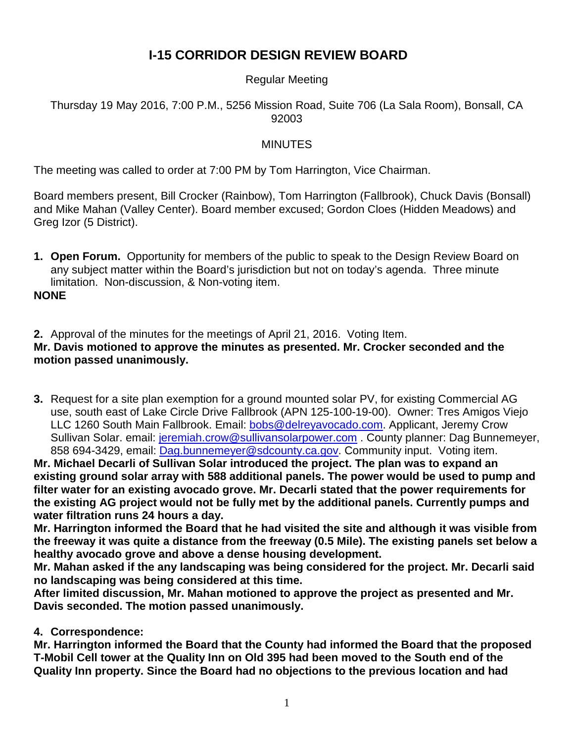# **I-15 CORRIDOR DESIGN REVIEW BOARD**

## Regular Meeting

#### Thursday 19 May 2016, 7:00 P.M., 5256 Mission Road, Suite 706 (La Sala Room), Bonsall, CA 92003

#### MINUTES

The meeting was called to order at 7:00 PM by Tom Harrington, Vice Chairman.

Board members present, Bill Crocker (Rainbow), Tom Harrington (Fallbrook), Chuck Davis (Bonsall) and Mike Mahan (Valley Center). Board member excused; Gordon Cloes (Hidden Meadows) and Greg Izor (5 District).

**1. Open Forum.** Opportunity for members of the public to speak to the Design Review Board on any subject matter within the Board's jurisdiction but not on today's agenda. Three minute limitation. Non-discussion, & Non-voting item.

**NONE**

**2.** Approval of the minutes for the meetings of April 21, 2016. Voting Item.

# **Mr. Davis motioned to approve the minutes as presented. Mr. Crocker seconded and the motion passed unanimously.**

**3.** Request for a site plan exemption for a ground mounted solar PV, for existing Commercial AG use, south east of Lake Circle Drive Fallbrook (APN 125-100-19-00). Owner: Tres Amigos Viejo LLC 1260 South Main Fallbrook. Email: [bobs@delreyavocado.com.](mailto:bobs@delreyavocado.com) Applicant, Jeremy Crow Sullivan Solar. email: [jeremiah.crow@sullivansolarpower.com](mailto:jeremiah.crow@sullivansolarpower.com). County planner: Dag Bunnemeyer, 858 694-3429, email: [Dag.bunnemeyer@sdcounty.ca.gov.](mailto:Dag.bunnemeyer@sdcounty.ca.gov) Community input. Voting item.

**Mr. Michael Decarli of Sullivan Solar introduced the project. The plan was to expand an existing ground solar array with 588 additional panels. The power would be used to pump and filter water for an existing avocado grove. Mr. Decarli stated that the power requirements for the existing AG project would not be fully met by the additional panels. Currently pumps and water filtration runs 24 hours a day.** 

**Mr. Harrington informed the Board that he had visited the site and although it was visible from the freeway it was quite a distance from the freeway (0.5 Mile). The existing panels set below a healthy avocado grove and above a dense housing development.** 

**Mr. Mahan asked if the any landscaping was being considered for the project. Mr. Decarli said no landscaping was being considered at this time.** 

**After limited discussion, Mr. Mahan motioned to approve the project as presented and Mr. Davis seconded. The motion passed unanimously.** 

**4. Correspondence:**

**Mr. Harrington informed the Board that the County had informed the Board that the proposed T-Mobil Cell tower at the Quality Inn on Old 395 had been moved to the South end of the Quality Inn property. Since the Board had no objections to the previous location and had**